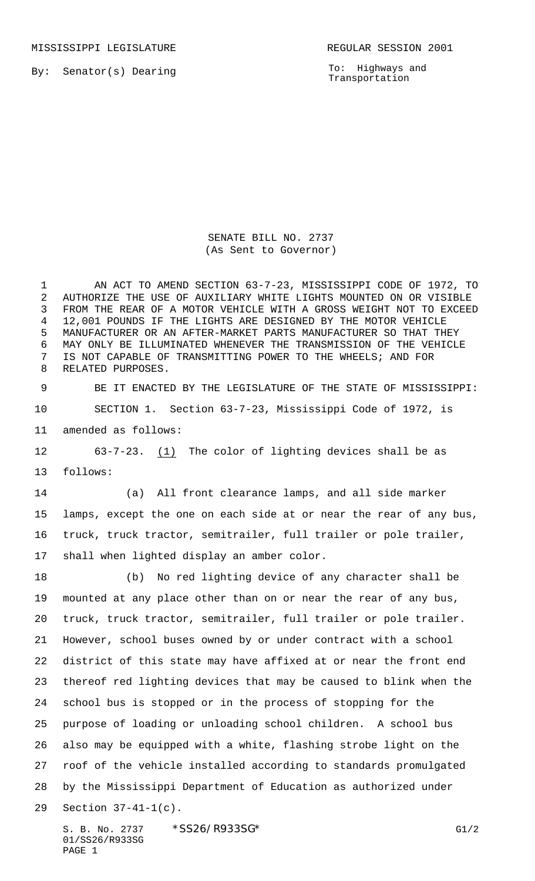MISSISSIPPI LEGISLATURE **REGULAR SESSION 2001** 

By: Senator(s) Dearing

To: Highways and Transportation

SENATE BILL NO. 2737 (As Sent to Governor)

 AN ACT TO AMEND SECTION 63-7-23, MISSISSIPPI CODE OF 1972, TO AUTHORIZE THE USE OF AUXILIARY WHITE LIGHTS MOUNTED ON OR VISIBLE FROM THE REAR OF A MOTOR VEHICLE WITH A GROSS WEIGHT NOT TO EXCEED 12,001 POUNDS IF THE LIGHTS ARE DESIGNED BY THE MOTOR VEHICLE MANUFACTURER OR AN AFTER-MARKET PARTS MANUFACTURER SO THAT THEY MAY ONLY BE ILLUMINATED WHENEVER THE TRANSMISSION OF THE VEHICLE IS NOT CAPABLE OF TRANSMITTING POWER TO THE WHEELS; AND FOR RELATED PURPOSES.

 BE IT ENACTED BY THE LEGISLATURE OF THE STATE OF MISSISSIPPI: SECTION 1. Section 63-7-23, Mississippi Code of 1972, is amended as follows:

 63-7-23. (1) The color of lighting devices shall be as follows:

 (a) All front clearance lamps, and all side marker lamps, except the one on each side at or near the rear of any bus, truck, truck tractor, semitrailer, full trailer or pole trailer, shall when lighted display an amber color.

 (b) No red lighting device of any character shall be mounted at any place other than on or near the rear of any bus, truck, truck tractor, semitrailer, full trailer or pole trailer. However, school buses owned by or under contract with a school district of this state may have affixed at or near the front end thereof red lighting devices that may be caused to blink when the school bus is stopped or in the process of stopping for the purpose of loading or unloading school children. A school bus also may be equipped with a white, flashing strobe light on the roof of the vehicle installed according to standards promulgated by the Mississippi Department of Education as authorized under Section 37-41-1(c).

S. B. No. 2737 \* SS26/R933SG\* G1/2 01/SS26/R933SG PAGE 1